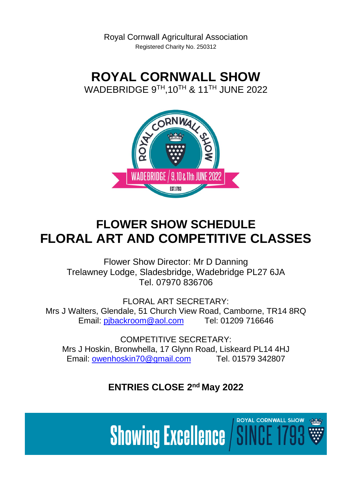**ROYAL CORNWALL SHOW** WADEBRIDGE 9 $^{\sf TH}$ ,10 $^{\sf TH}$  & 11 $^{\sf TH}$  JUNE 2022



# **FLOWER SHOW SCHEDULE FLORAL ART AND COMPETITIVE CLASSES**

Flower Show Director: Mr D Danning Trelawney Lodge, Sladesbridge, Wadebridge PL27 6JA Tel. 07970 836706

FLORAL ART SECRETARY: Mrs J Walters, Glendale, 51 Church View Road, Camborne, TR14 8RQ Email: [pjbackroom@aol.com](mailto:pjbackroom@aol.com) Tel: 01209 716646

COMPETITIVE SECRETARY: Mrs J Hoskin, Bronwhella, 17 Glynn Road, Liskeard PL14 4HJ Email: [owenhoskin70@gmail.com](mailto:owenhoskin70@gmail.com) Tel. 01579 342807

**ENTRIES CLOSE 2<sup>nd</sup> May 2022** 

**ROYAL CORNWALL SHOW Showing Excellence / SII**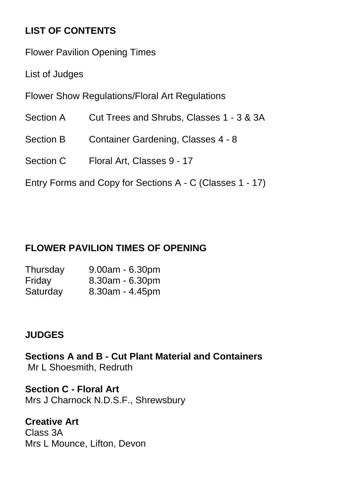## **LIST OF CONTENTS**

Flower Pavilion Opening Times

List of Judges

Flower Show Regulations/Floral Art Regulations

- Section A Cut Trees and Shrubs, Classes 1 3 & 3A
- Section B Container Gardening, Classes 4 8
- Section C Floral Art, Classes 9 17

Entry Forms and Copy for Sections A - C (Classes 1 - 17)

## **FLOWER PAVILION TIMES OF OPENING**

| Thursday | $9.00am - 6.30pm$     |
|----------|-----------------------|
| Friday   | $8.30$ am - 6.30pm    |
| Saturday | $8.30$ am - $4.45$ pm |

### **JUDGES**

**Sections A and B - Cut Plant Material and Containers** Mr L Shoesmith, Redruth

**Section C - Floral Art** Mrs J Charnock N.D.S.F., Shrewsbury

**Creative Art** Class 3A Mrs L Mounce, Lifton, Devon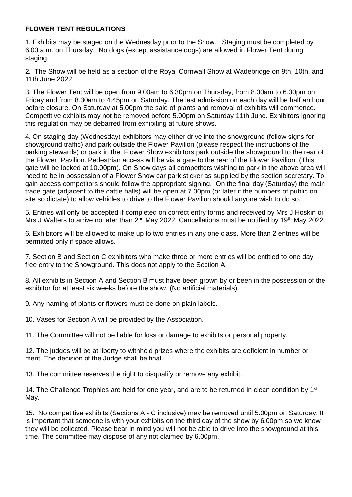#### **FLOWER TENT REGULATIONS**

1. Exhibits may be staged on the Wednesday prior to the Show. Staging must be completed by 6.00 a.m. on Thursday. No dogs (except assistance dogs) are allowed in Flower Tent during staging.

2. The Show will be held as a section of the Royal Cornwall Show at Wadebridge on 9th, 10th, and 11th June 2022.

3. The Flower Tent will be open from 9.00am to 6.30pm on Thursday, from 8.30am to 6.30pm on Friday and from 8.30am to 4.45pm on Saturday. The last admission on each day will be half an hour before closure. On Saturday at 5.00pm the sale of plants and removal of exhibits will commence. Competitive exhibits may not be removed before 5.00pm on Saturday 11th June. Exhibitors ignoring this regulation may be debarred from exhibiting at future shows.

4. On staging day (Wednesday) exhibitors may either drive into the showground (follow signs for showground traffic) and park outside the Flower Pavilion (please respect the instructions of the parking stewards) or park in the Flower Show exhibitors park outside the showground to the rear of the Flower Pavilion. Pedestrian access will be via a gate to the rear of the Flower Pavilion. (This gate will be locked at 10.00pm). On Show days all competitors wishing to park in the above area will need to be in possession of a Flower Show car park sticker as supplied by the section secretary. To gain access competitors should follow the appropriate signing. On the final day (Saturday) the main trade gate (adjacent to the cattle halls) will be open at 7.00pm (or later if the numbers of public on site so dictate) to allow vehicles to drive to the Flower Pavilion should anyone wish to do so.

5. Entries will only be accepted if completed on correct entry forms and received by Mrs J Hoskin or Mrs J Walters to arrive no later than 2<sup>nd</sup> May 2022. Cancellations must be notified by 19<sup>th</sup> May 2022.

6. Exhibitors will be allowed to make up to two entries in any one class. More than 2 entries will be permitted only if space allows.

7. Section B and Section C exhibitors who make three or more entries will be entitled to one day free entry to the Showground. This does not apply to the Section A.

8. All exhibits in Section A and Section B must have been grown by or been in the possession of the exhibitor for at least six weeks before the show. (No artificial materials)

9. Any naming of plants or flowers must be done on plain labels.

10. Vases for Section A will be provided by the Association.

11. The Committee will not be liable for loss or damage to exhibits or personal property.

12. The judges will be at liberty to withhold prizes where the exhibits are deficient in number or merit. The decision of the Judge shall be final.

13. The committee reserves the right to disqualify or remove any exhibit.

14. The Challenge Trophies are held for one year, and are to be returned in clean condition by 1<sup>st</sup> May.

15. No competitive exhibits (Sections A - C inclusive) may be removed until 5.00pm on Saturday. It is important that someone is with your exhibits on the third day of the show by 6.00pm so we know they will be collected. Please bear in mind you will not be able to drive into the showground at this time. The committee may dispose of any not claimed by 6.00pm.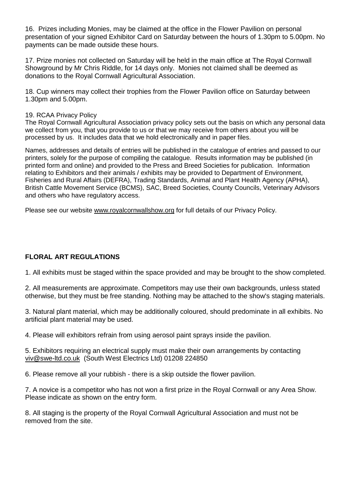16. Prizes including Monies, may be claimed at the office in the Flower Pavilion on personal presentation of your signed Exhibitor Card on Saturday between the hours of 1.30pm to 5.00pm. No payments can be made outside these hours.

17. Prize monies not collected on Saturday will be held in the main office at The Royal Cornwall Showground by Mr Chris Riddle, for 14 days only. Monies not claimed shall be deemed as donations to the Royal Cornwall Agricultural Association.

18. Cup winners may collect their trophies from the Flower Pavilion office on Saturday between 1.30pm and 5.00pm.

#### 19. RCAA Privacy Policy

The Royal Cornwall Agricultural Association privacy policy sets out the basis on which any personal data we collect from you, that you provide to us or that we may receive from others about you will be processed by us. It includes data that we hold electronically and in paper files.

Names, addresses and details of entries will be published in the catalogue of entries and passed to our printers, solely for the purpose of compiling the catalogue. Results information may be published (in printed form and online) and provided to the Press and Breed Societies for publication. Information relating to Exhibitors and their animals / exhibits may be provided to Department of Environment, Fisheries and Rural Affairs (DEFRA), Trading Standards, Animal and Plant Health Agency (APHA), British Cattle Movement Service (BCMS), SAC, Breed Societies, County Councils, Veterinary Advisors and others who have regulatory access.

Please see our website [www.royalcornwallshow.org](http://www.royalcornwallshow.org/) for full details of our Privacy Policy.

#### **FLORAL ART REGULATIONS**

1. All exhibits must be staged within the space provided and may be brought to the show completed.

2. All measurements are approximate. Competitors may use their own backgrounds, unless stated otherwise, but they must be free standing. Nothing may be attached to the show's staging materials.

3. Natural plant material, which may be additionally coloured, should predominate in all exhibits. No artificial plant material may be used.

4. Please will exhibitors refrain from using aerosol paint sprays inside the pavilion.

5. Exhibitors requiring an electrical supply must make their own arrangements by contacting [viv@swe-ltd.co.uk](mailto:viv@swe-ltd.co.uk) (South West Electrics Ltd) 01208 224850

6. Please remove all your rubbish - there is a skip outside the flower pavilion.

7. A novice is a competitor who has not won a first prize in the Royal Cornwall or any Area Show. Please indicate as shown on the entry form.

8. All staging is the property of the Royal Cornwall Agricultural Association and must not be removed from the site.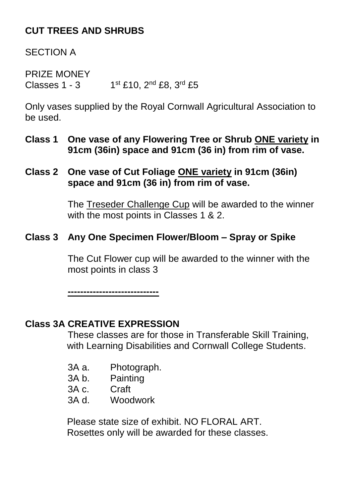## **CUT TREES AND SHRUBS**

SECTION A

PRIZE MONEY Classes  $1 - 3$  1st £10,  $2^{nd}$  £8,  $3^{rd}$  £5

Only vases supplied by the Royal Cornwall Agricultural Association to be used.

**Class 1 One vase of any Flowering Tree or Shrub ONE variety in 91cm (36in) space and 91cm (36 in) from rim of vase.**

#### **Class 2 One vase of Cut Foliage ONE variety in 91cm (36in) space and 91cm (36 in) from rim of vase.**

The Treseder Challenge Cup will be awarded to the winner with the most points in Classes 1 & 2.

#### **Class 3 Any One Specimen Flower/Bloom – Spray or Spike**

The Cut Flower cup will be awarded to the winner with the most points in class 3

**-----------------------------**

#### **Class 3A CREATIVE EXPRESSION**

These classes are for those in Transferable Skill Training, with Learning Disabilities and Cornwall College Students.

- 3A a. Photograph.
- 3A b. Painting
- 3A c. Craft
- 3A d. Woodwork

Please state size of exhibit. NO FLORAL ART. Rosettes only will be awarded for these classes.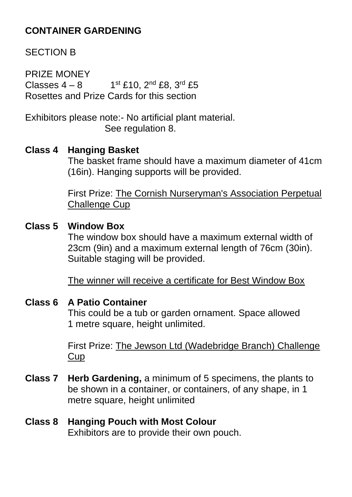## **CONTAINER GARDENING**

### SECTION B

PRIZE MONEY  $Classes 4 - 8 1$ 1st £10, 2<sup>nd</sup> £8, 3<sup>rd</sup> £5 Rosettes and Prize Cards for this section

Exhibitors please note:- No artificial plant material. See regulation 8.

#### **Class 4 Hanging Basket**

The basket frame should have a maximum diameter of 41cm (16in). Hanging supports will be provided.

First Prize: The Cornish Nurseryman's Association Perpetual Challenge Cup

#### **Class 5 Window Box**

The window box should have a maximum external width of 23cm (9in) and a maximum external length of 76cm (30in). Suitable staging will be provided.

The winner will receive a certificate for Best Window Box

#### **Class 6 A Patio Container**

This could be a tub or garden ornament. Space allowed 1 metre square, height unlimited.

First Prize: The Jewson Ltd (Wadebridge Branch) Challenge Cup

**Class 7 Herb Gardening,** a minimum of 5 specimens, the plants to be shown in a container, or containers, of any shape, in 1 metre square, height unlimited

#### **Class 8 Hanging Pouch with Most Colour** Exhibitors are to provide their own pouch.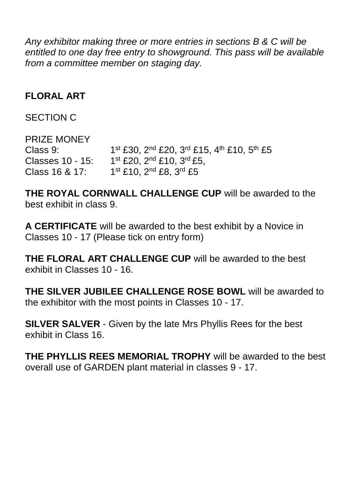*Any exhibitor making three or more entries in sections B & C will be entitled to one day free entry to showground. This pass will be available from a committee member on staging day.*

### **FLORAL ART**

#### SECTION C

PRIZE MONEY Class 9: 1<sup>st</sup> £30, 2<sup>nd</sup> £20, 3<sup>rd</sup> £15, 4<sup>th</sup> £10, 5<sup>th</sup> £5 Classes 10 - 15: 1 1<sup>st</sup> £20, 2<sup>nd</sup> £10, 3<sup>rd</sup> £5,  $Class 16  $8$  17:$ 1st £10, 2<sup>nd</sup> £8, 3<sup>rd</sup> £5

**THE ROYAL CORNWALL CHALLENGE CUP** will be awarded to the best exhibit in class 9.

**A CERTIFICATE** will be awarded to the best exhibit by a Novice in Classes 10 - 17 (Please tick on entry form)

**THE FLORAL ART CHALLENGE CUP** will be awarded to the best exhibit in Classes 10 - 16.

**THE SILVER JUBILEE CHALLENGE ROSE BOWL** will be awarded to the exhibitor with the most points in Classes 10 - 17.

**SILVER SALVER** - Given by the late Mrs Phyllis Rees for the best exhibit in Class 16.

**THE PHYLLIS REES MEMORIAL TROPHY** will be awarded to the best overall use of GARDEN plant material in classes 9 - 17.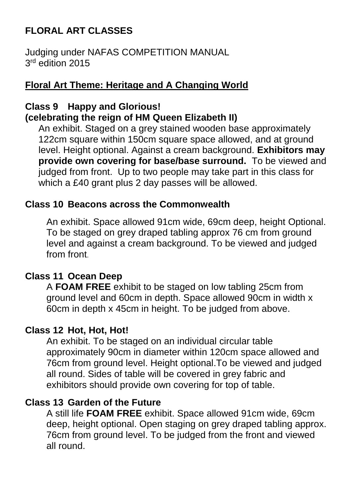## **FLORAL ART CLASSES**

Judging under NAFAS COMPETITION MANUAL 3 rd edition 2015

### **Floral Art Theme: Heritage and A Changing World**

### **Class 9 Happy and Glorious! (celebrating the reign of HM Queen Elizabeth II)**

An exhibit. Staged on a grey stained wooden base approximately 122cm square within 150cm square space allowed, and at ground level. Height optional. Against a cream background. **Exhibitors may provide own covering for base/base surround.** To be viewed and judged from front. Up to two people may take part in this class for which a £40 grant plus 2 day passes will be allowed.

### **Class 10 Beacons across the Commonwealth**

An exhibit. Space allowed 91cm wide, 69cm deep, height Optional. To be staged on grey draped tabling approx 76 cm from ground level and against a cream background. To be viewed and judged from front.

#### **Class 11 Ocean Deep**

A **FOAM FREE** exhibit to be staged on low tabling 25cm from ground level and 60cm in depth. Space allowed 90cm in width x 60cm in depth x 45cm in height. To be judged from above.

#### **Class 12 Hot, Hot, Hot!**

An exhibit. To be staged on an individual circular table approximately 90cm in diameter within 120cm space allowed and 76cm from ground level. Height optional.To be viewed and judged all round. Sides of table will be covered in grey fabric and exhibitors should provide own covering for top of table.

### **Class 13 Garden of the Future**

A still life **FOAM FREE** exhibit. Space allowed 91cm wide, 69cm deep, height optional. Open staging on grey draped tabling approx. 76cm from ground level. To be judged from the front and viewed all round.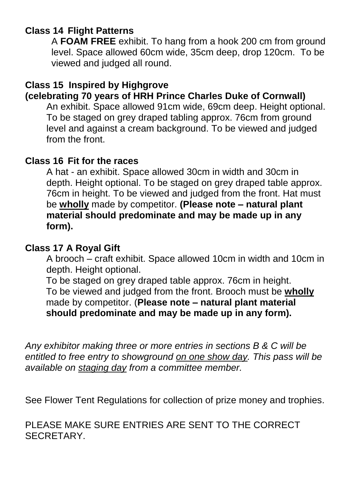### **Class 14 Flight Patterns**

A **FOAM FREE** exhibit. To hang from a hook 200 cm from ground level. Space allowed 60cm wide, 35cm deep, drop 120cm. To be viewed and judged all round.

### **Class 15 Inspired by Highgrove (celebrating 70 years of HRH Prince Charles Duke of Cornwall)**

An exhibit. Space allowed 91cm wide, 69cm deep. Height optional. To be staged on grey draped tabling approx. 76cm from ground level and against a cream background. To be viewed and judged from the front.

### **Class 16 Fit for the races**

A hat - an exhibit. Space allowed 30cm in width and 30cm in depth. Height optional. To be staged on grey draped table approx. 76cm in height. To be viewed and judged from the front. Hat must be **wholly** made by competitor. **(Please note – natural plant material should predominate and may be made up in any form).**

### **Class 17 A Royal Gift**

A brooch – craft exhibit. Space allowed 10cm in width and 10cm in depth. Height optional.

To be staged on grey draped table approx. 76cm in height. To be viewed and judged from the front. Brooch must be **wholly**  made by competitor. (**Please note – natural plant material should predominate and may be made up in any form).**

*Any exhibitor making three or more entries in sections B & C will be entitled to free entry to showground on one show day. This pass will be available on staging day from a committee member.*

See Flower Tent Regulations for collection of prize money and trophies.

PLEASE MAKE SURE ENTRIES ARE SENT TO THE CORRECT SECRETARY.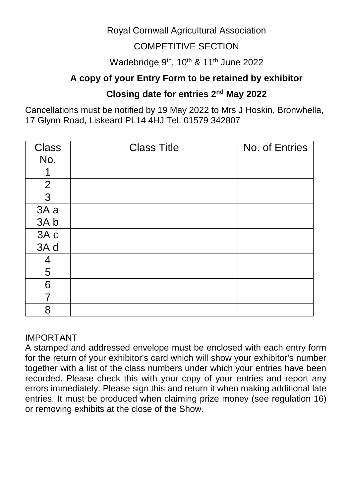### Royal Cornwall Agricultural Association

### COMPETITIVE SECTION

### Wadebridge 9<sup>th</sup>, 10<sup>th</sup> & 11<sup>th</sup> June 2022

### **A copy of your Entry Form to be retained by exhibitor**

### **Closing date for entries 2nd May 2022**

Cancellations must be notified by 19 May 2022 to Mrs J Hoskin, Bronwhella, 17 Glynn Road, Liskeard PL14 4HJ Tel. 01579 342807

| <b>Class</b>   | <b>Class Title</b> | No. of Entries |
|----------------|--------------------|----------------|
| No.            |                    |                |
|                |                    |                |
| $\overline{2}$ |                    |                |
| $\mathbf{3}$   |                    |                |
| 3A a           |                    |                |
| 3A b           |                    |                |
| 3A c           |                    |                |
| 3A d           |                    |                |
| 4              |                    |                |
| 5              |                    |                |
| 6              |                    |                |
| 7              |                    |                |
| 8              |                    |                |

#### IMPORTANT

A stamped and addressed envelope must be enclosed with each entry form for the return of your exhibitor's card which will show your exhibitor's number together with a list of the class numbers under which your entries have been recorded. Please check this with your copy of your entries and report any errors immediately. Please sign this and return it when making additional late entries. It must be produced when claiming prize money (see regulation 16) or removing exhibits at the close of the Show.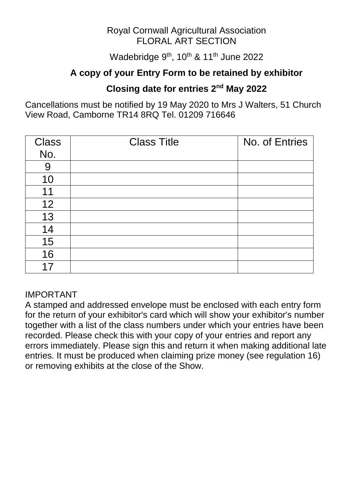#### Royal Cornwall Agricultural Association FLORAL ART SECTION

Wadebridge 9<sup>th</sup>, 10<sup>th</sup> & 11<sup>th</sup> June 2022

### **A copy of your Entry Form to be retained by exhibitor**

### **Closing date for entries 2nd May 2022**

Cancellations must be notified by 19 May 2020 to Mrs J Walters, 51 Church View Road, Camborne TR14 8RQ Tel. 01209 716646

| <b>Class</b> | <b>Class Title</b> | No. of Entries |
|--------------|--------------------|----------------|
| No.          |                    |                |
| 9            |                    |                |
| 10           |                    |                |
| 11           |                    |                |
| 12           |                    |                |
| 13           |                    |                |
| 14           |                    |                |
| 15           |                    |                |
| 16           |                    |                |
| 17           |                    |                |

#### IMPORTANT

A stamped and addressed envelope must be enclosed with each entry form for the return of your exhibitor's card which will show your exhibitor's number together with a list of the class numbers under which your entries have been recorded. Please check this with your copy of your entries and report any errors immediately. Please sign this and return it when making additional late entries. It must be produced when claiming prize money (see regulation 16) or removing exhibits at the close of the Show.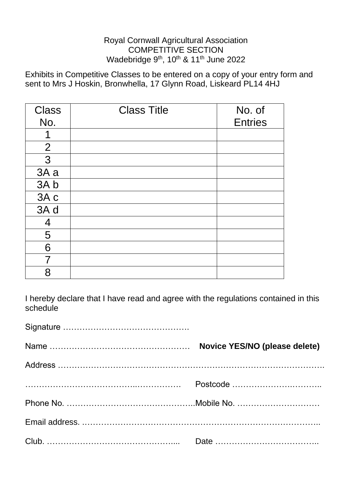#### Royal Cornwall Agricultural Association COMPETITIVE SECTION Wadebridge 9<sup>th</sup>, 10<sup>th</sup> & 11<sup>th</sup> June 2022

Exhibits in Competitive Classes to be entered on a copy of your entry form and sent to Mrs J Hoskin, Bronwhella, 17 Glynn Road, Liskeard PL14 4HJ

| <b>Class</b>   | <b>Class Title</b> | No. of         |
|----------------|--------------------|----------------|
| No.            |                    | <b>Entries</b> |
| 1              |                    |                |
| 2              |                    |                |
| 3              |                    |                |
| 3A a           |                    |                |
| 3Ab            |                    |                |
| 3A c           |                    |                |
| 3A d           |                    |                |
| $\overline{4}$ |                    |                |
| 5              |                    |                |
| 6              |                    |                |
| 7              |                    |                |
| 8              |                    |                |

I hereby declare that I have read and agree with the regulations contained in this schedule

| Novice YES/NO (please delete) |
|-------------------------------|
|                               |
| Postcode                      |
|                               |
|                               |
|                               |